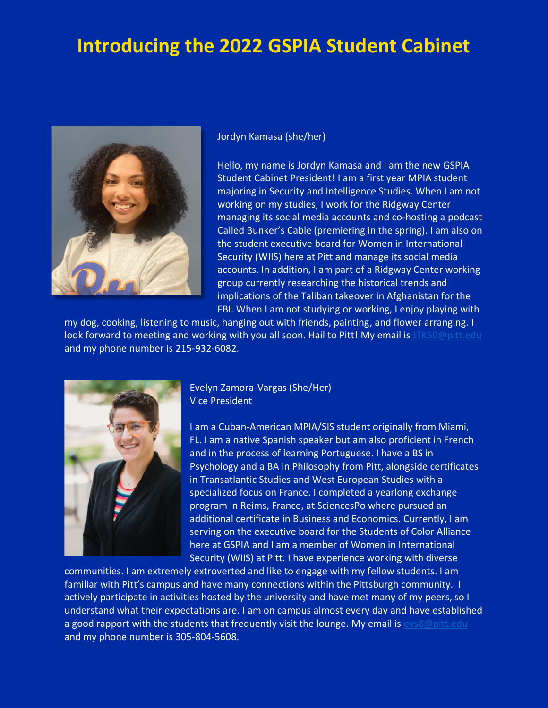# **Introducing the 2022 GSPIA Student Cabinet**



Jordyn Kamasa (she/her)

Hello, my name is Jordyn Kamasa and I am the new GSPIA Student Cabinet President! I am a first year MPIA student majoring in Security and Intelligence Studies. When I am not working on my studies, I work for the Ridgway Center managing its social media accounts and co-hosting a podcast Called Bunker's Cable (premiering in the spring). I am also on the student executive board for Women in International Security (WIIS) here at Pitt and manage its social media accounts. In addition, I am part of a Ridgway Center working group currently researching the historical trends and implications of the Taliban takeover in Afghanistan for the FBI. When I am not studying or working, I enjoy playing with

my dog, cooking, listening to music, hanging out with friends, painting, and flower arranging. I look forward to meeting and working with you all soon. Hail to Pitt! My email is [JTK50@pitt.edu](mailto:JTK50@pitt.edu) and my phone number is 215-932-6082.



Evelyn Zamora-Vargas (She/Her) Vice President

I am a Cuban-American MPIA/SIS student originally from Miami, FL. I am a native Spanish speaker but am also proficient in French and in the process of learning Portuguese. I have a BS in Psychology and a BA in Philosophy from Pitt, alongside certificates in Transatlantic Studies and West European Studies with a specialized focus on France. I completed a yearlong exchange program in Reims, France, at SciencesPo where pursued an additional certificate in Business and Economics. Currently, I am serving on the executive board for the Students of Color Alliance here at GSPIA and I am a member of Women in International Security (WIIS) at Pitt. I have experience working with diverse

communities. I am extremely extroverted and like to engage with my fellow students. I am familiar with Pitt's campus and have many connections within the Pittsburgh community. I actively participate in activities hosted by the university and have met many of my peers, so I understand what their expectations are. I am on campus almost every day and have established a good rapport with the students that frequently visit the lounge. My email is  $evs8@pitt.edu$ and my phone number is 305-804-5608.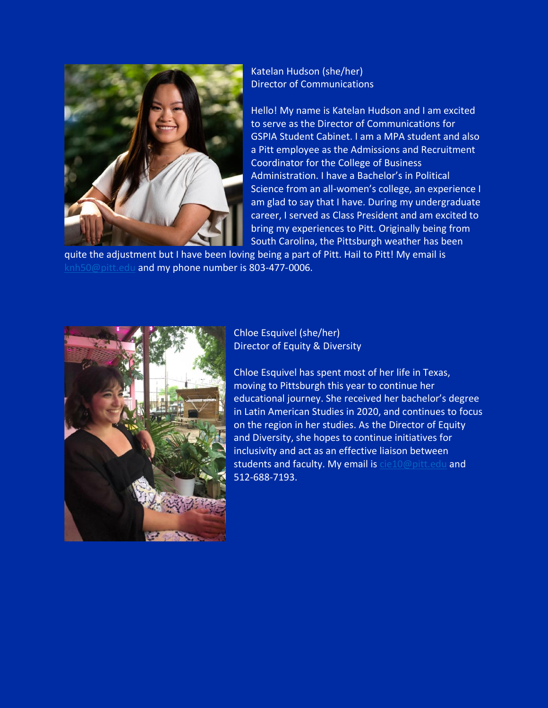

Katelan Hudson (she/her) Director of Communications

Hello! My name is Katelan Hudson and I am excited to serve as the Director of Communications for GSPIA Student Cabinet. I am a MPA student and also a Pitt employee as the Admissions and Recruitment Coordinator for the College of Business Administration. I have a Bachelor's in Political Science from an all-women's college, an experience I am glad to say that I have. During my undergraduate career, I served as Class President and am excited to bring my experiences to Pitt. Originally being from South Carolina, the Pittsburgh weather has been

quite the adjustment but I have been loving being a part of Pitt. Hail to Pitt! My email is [knh50@pitt.edu](mailto:knh50@pitt.edu) and my phone number is 803-477-0006.



#### Chloe Esquivel (she/her) Director of Equity & Diversity

Chloe Esquivel has spent most of her life in Texas, moving to Pittsburgh this year to continue her educational journey. She received her bachelor's degree in Latin American Studies in 2020, and continues to focus on the region in her studies. As the Director of Equity and Diversity, she hopes to continue initiatives for inclusivity and act as an effective liaison between students and faculty. My email is [cie10@pitt.edu](mailto:cie10@pitt.edu) and 512-688-7193.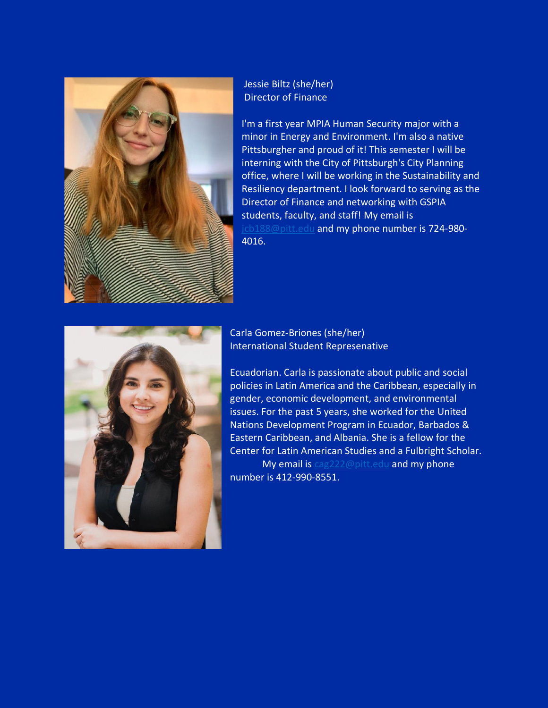

#### Jessie Biltz (she/her) Director of Finance

I'm a first year MPIA Human Security major with a minor in Energy and Environment. I'm also a native Pittsburgher and proud of it! This semester I will be interning with the City of Pittsburgh's City Planning office, where I will be working in the Sustainability and Resiliency department. I look forward to serving as the Director of Finance and networking with GSPIA students, faculty, and staff! My email is [jcb188@pitt.edu](mailto:jcb188@pitt.edu) and my phone number is 724-980-4016.



### Carla Gomez-Briones (she/her) International Student Represenative

Ecuadorian. Carla is passionate about public and social policies in Latin America and the Caribbean, especially in gender, economic development, and environmental issues. For the past 5 years, she worked for the United Nations Development Program in Ecuador, Barbados & Eastern Caribbean, and Albania. She is a fellow for the Center for Latin American Studies and a Fulbright Scholar. My email is [cag222@pitt.edu](mailto:cag222@pitt.edu) and my phone number is 412-990-8551.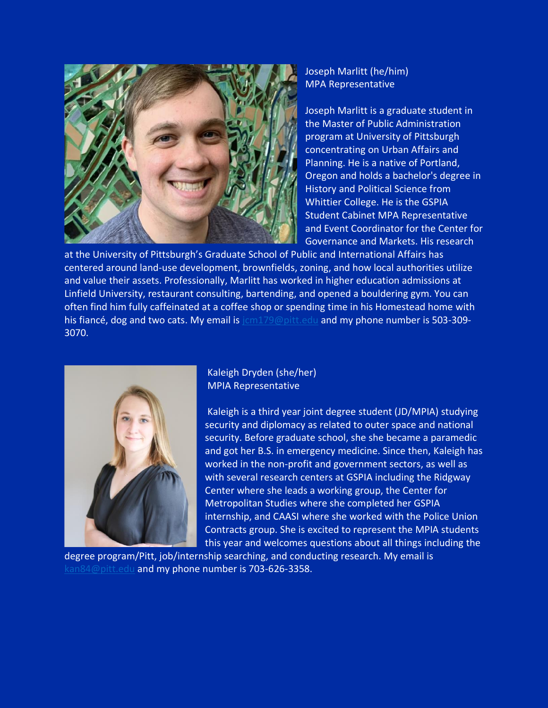

Joseph Marlitt (he/him) MPA Representative

Joseph Marlitt is a graduate student in the Master of Public Administration program at University of Pittsburgh concentrating on Urban Affairs and Planning. He is a native of Portland, Oregon and holds a bachelor's degree in History and Political Science from Whittier College. He is the GSPIA Student Cabinet MPA Representative and Event Coordinator for the Center for Governance and Markets. His research

at the University of Pittsburgh's Graduate School of Public and International Affairs has centered around land-use development, brownfields, zoning, and how local authorities utilize and value their assets. Professionally, Marlitt has worked in higher education admissions at Linfield University, restaurant consulting, bartending, and opened a bouldering gym. You can often find him fully caffeinated at a coffee shop or spending time in his Homestead home with his fiancé, dog and two cats. My email is [jcm179@pitt.edu](mailto:jcm179@pitt.edu) and my phone number is 503-309-3070.



Kaleigh Dryden (she/her) MPIA Representative

Kaleigh is a third year joint degree student (JD/MPIA) studying security and diplomacy as related to outer space and national security. Before graduate school, she she became a paramedic and got her B.S. in emergency medicine. Since then, Kaleigh has worked in the non-profit and government sectors, as well as with several research centers at GSPIA including the Ridgway Center where she leads a working group, the Center for Metropolitan Studies where she completed her GSPIA internship, and CAASI where she worked with the Police Union Contracts group. She is excited to represent the MPIA students this year and welcomes questions about all things including the

degree program/Pitt, job/internship searching, and conducting research. My email is [kan84@pitt.edu](mailto:kan84@pitt.edu) and my phone number is 703-626-3358.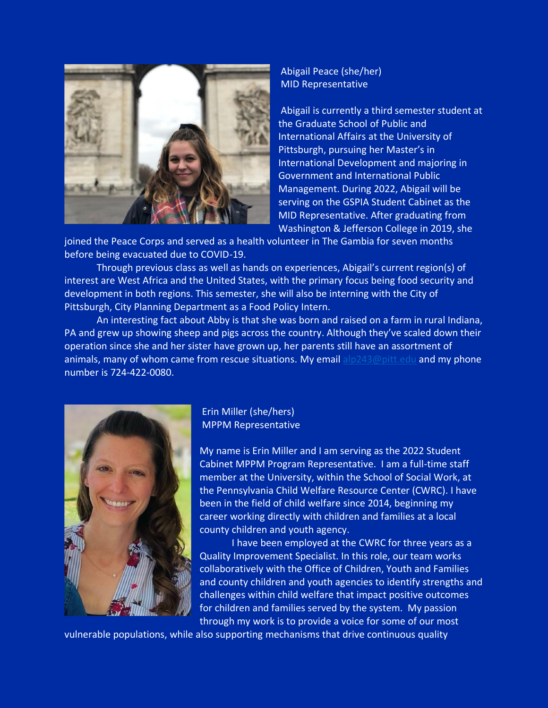

## Abigail Peace (she/her) MID Representative

Abigail is currently a third semester student at the Graduate School of Public and International Affairs at the University of Pittsburgh, pursuing her Master's in International Development and majoring in Government and International Public Management. During 2022, Abigail will be serving on the GSPIA Student Cabinet as the MID Representative. After graduating from Washington & Jefferson College in 2019, she

joined the Peace Corps and served as a health volunteer in The Gambia for seven months before being evacuated due to COVID-19.

Through previous class as well as hands on experiences, Abigail's current region(s) of interest are West Africa and the United States, with the primary focus being food security and development in both regions. This semester, she will also be interning with the City of Pittsburgh, City Planning Department as a Food Policy Intern.

An interesting fact about Abby is that she was born and raised on a farm in rural Indiana, PA and grew up showing sheep and pigs across the country. Although they've scaled down their operation since she and her sister have grown up, her parents still have an assortment of animals, many of whom came from rescue situations. My email [alp243@pitt.edu](mailto:alp243@pitt.edu) and my phone number is 724-422-0080.



Erin Miller (she/hers) MPPM Representative

My name is Erin Miller and I am serving as the 2022 Student Cabinet MPPM Program Representative. I am a full-time staff member at the University, within the School of Social Work, at the Pennsylvania Child Welfare Resource Center (CWRC). I have been in the field of child welfare since 2014, beginning my career working directly with children and families at a local county children and youth agency.

I have been employed at the CWRC for three years as a Quality Improvement Specialist. In this role, our team works collaboratively with the Office of Children, Youth and Families and county children and youth agencies to identify strengths and challenges within child welfare that impact positive outcomes for children and families served by the system. My passion through my work is to provide a voice for some of our most

vulnerable populations, while also supporting mechanisms that drive continuous quality